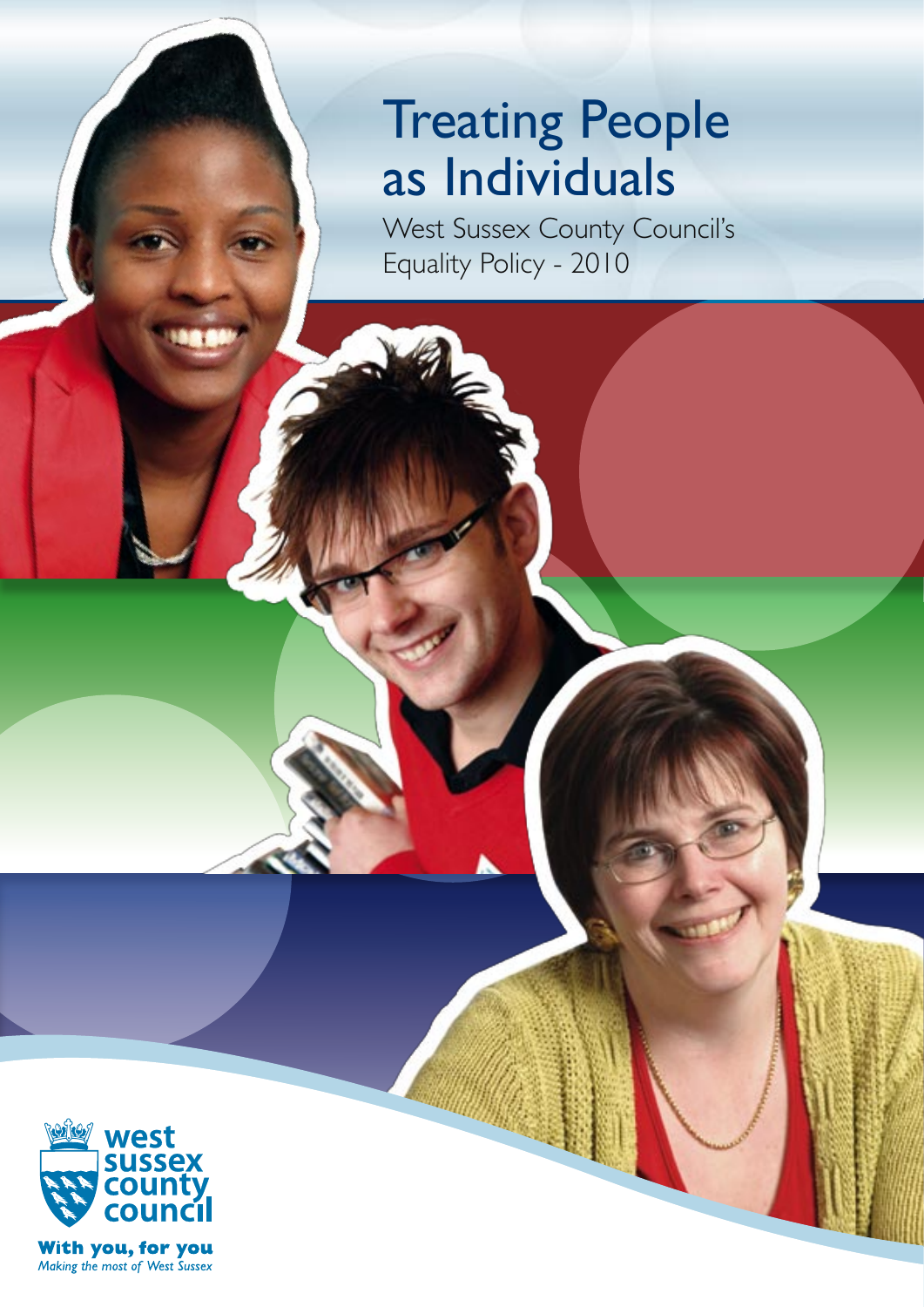# Treating People as Individuals

West Sussex County Council's Equality Policy - 2010



Making the most of West Sussex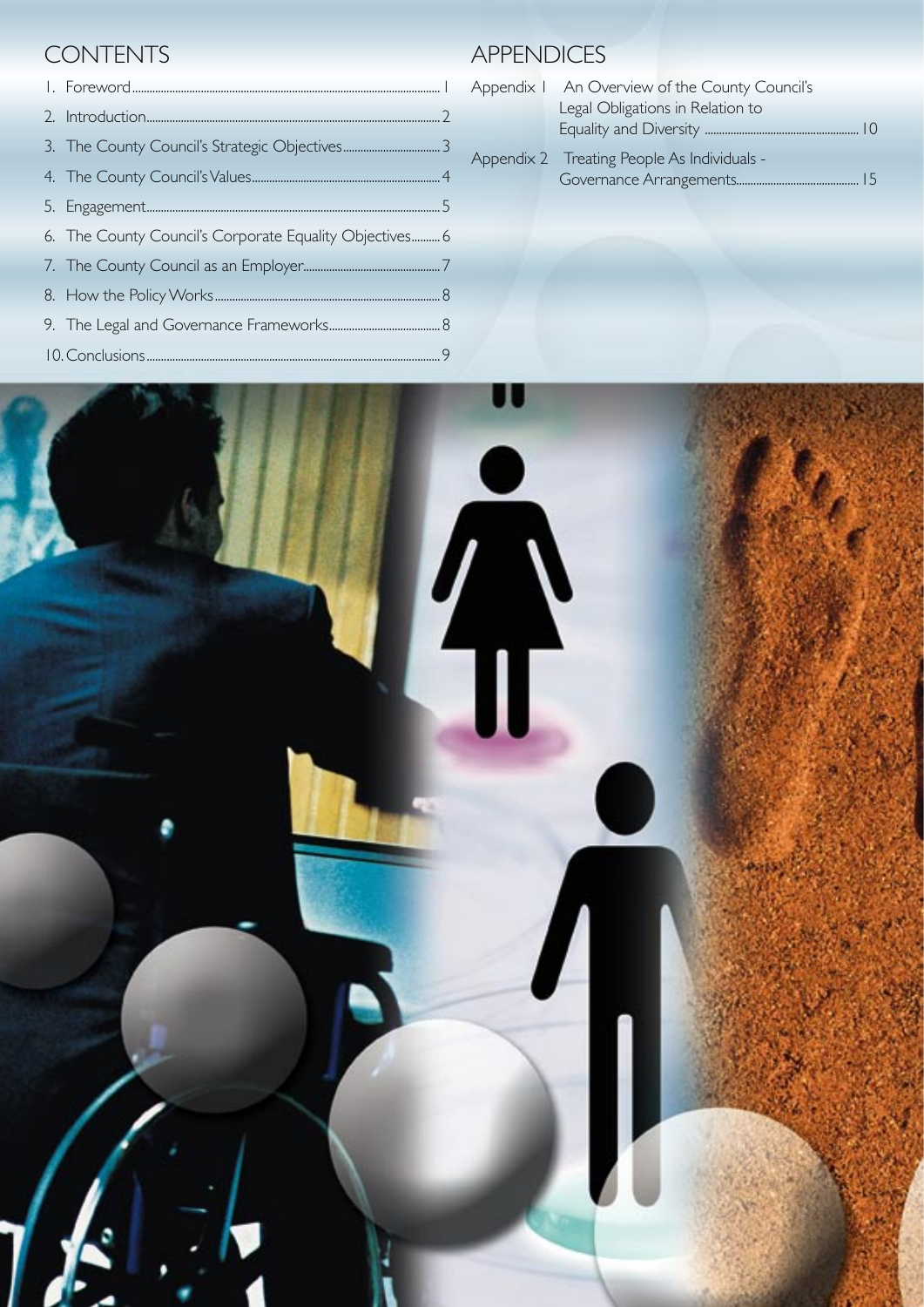### **CONTENTS**

|  | 6. The County Council's Corporate Equality Objectives 6 |  |  |  |
|--|---------------------------------------------------------|--|--|--|
|  |                                                         |  |  |  |
|  |                                                         |  |  |  |
|  |                                                         |  |  |  |
|  |                                                         |  |  |  |

### **APPENDICES**

| Appendix I An Overview of the County Council's |  |  |
|------------------------------------------------|--|--|
| Legal Obligations in Relation to               |  |  |
|                                                |  |  |
| Appendix 2 Treating People As Individuals -    |  |  |
|                                                |  |  |

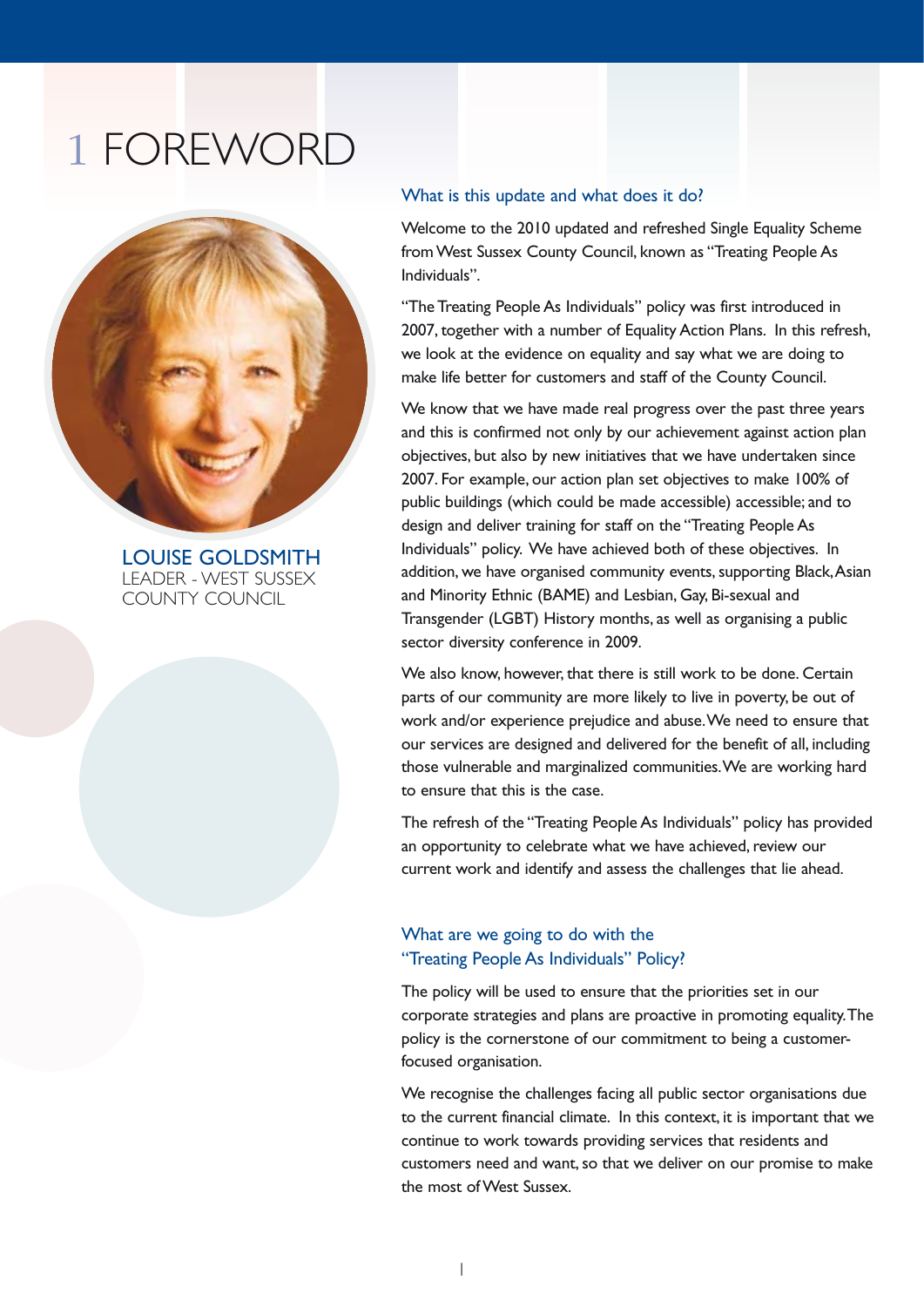# 1 FOREWORD



LOUISE GOLDSMITH LEADER - WEST SUSSEX COUNTY COUNCIL

#### What is this update and what does it do?

Welcome to the 2010 updated and refreshed Single Equality Scheme from West Sussex County Council, known as "Treating People As Individuals".

"The Treating People As Individuals" policy was first introduced in 2007, together with a number of Equality Action Plans. In this refresh, we look at the evidence on equality and say what we are doing to make life better for customers and staff of the County Council.

We know that we have made real progress over the past three years and this is confirmed not only by our achievement against action plan objectives, but also by new initiatives that we have undertaken since 2007. For example, our action plan set objectives to make 100% of public buildings (which could be made accessible) accessible; and to design and deliver training for staff on the "Treating People As Individuals" policy. We have achieved both of these objectives. In addition, we have organised community events, supporting Black, Asian and Minority Ethnic (BAME) and Lesbian, Gay, Bi-sexual and Transgender (LGBT) History months, as well as organising a public sector diversity conference in 2009.

We also know, however, that there is still work to be done. Certain parts of our community are more likely to live in poverty, be out of work and/or experience prejudice and abuse. We need to ensure that our services are designed and delivered for the benefit of all, including those vulnerable and marginalized communities. We are working hard to ensure that this is the case.

The refresh of the "Treating People As Individuals" policy has provided an opportunity to celebrate what we have achieved, review our current work and identify and assess the challenges that lie ahead.

#### What are we going to do with the "Treating People As Individuals" Policy?

The policy will be used to ensure that the priorities set in our corporate strategies and plans are proactive in promoting equality. The policy is the cornerstone of our commitment to being a customerfocused organisation.

We recognise the challenges facing all public sector organisations due to the current financial climate. In this context, it is important that we continue to work towards providing services that residents and customers need and want, so that we deliver on our promise to make the most of West Sussex.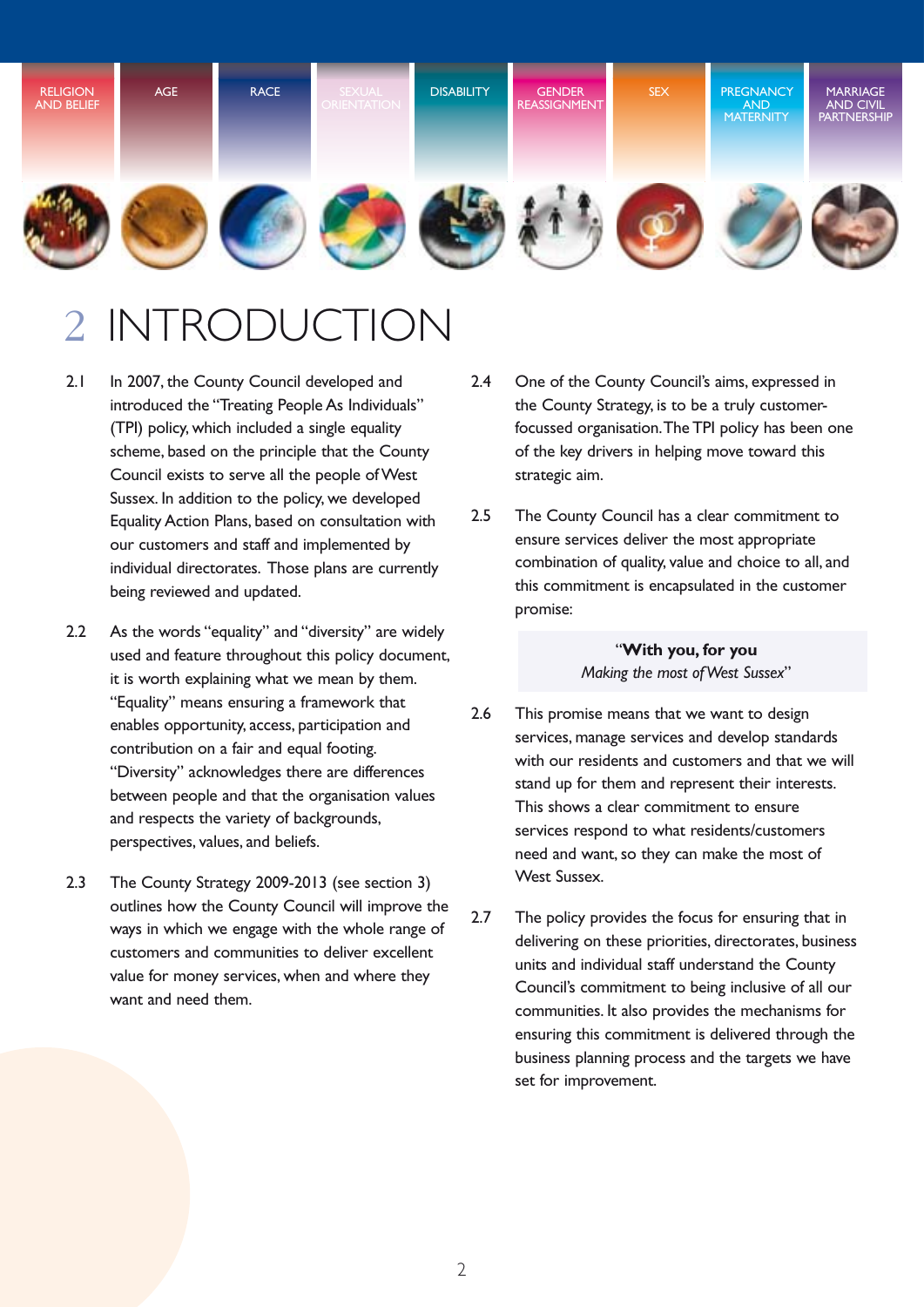

## **INTRODUCTION**

- 2.1 In 2007, the County Council developed and introduced the "Treating People As Individuals" (TPI) policy, which included a single equality scheme, based on the principle that the County Council exists to serve all the people of West Sussex. In addition to the policy, we developed Equality Action Plans, based on consultation with our customers and staff and implemented by individual directorates. Those plans are currently being reviewed and updated.
- 2.2 As the words "equality" and "diversity" are widely used and feature throughout this policy document, it is worth explaining what we mean by them. "Equality" means ensuring a framework that enables opportunity, access, participation and contribution on a fair and equal footing. "Diversity" acknowledges there are differences between people and that the organisation values and respects the variety of backgrounds, perspectives, values, and beliefs.
- 2.3 The County Strategy 2009-2013 (see section 3) outlines how the County Council will improve the ways in which we engage with the whole range of customers and communities to deliver excellent value for money services, when and where they want and need them.
- 2.4 One of the County Council's aims, expressed in the County Strategy, is to be a truly customerfocussed organisation. The TPI policy has been one of the key drivers in helping move toward this strategic aim.
- 2.5 The County Council has a clear commitment to ensure services deliver the most appropriate combination of quality, value and choice to all, and this commitment is encapsulated in the customer promise:

#### "**With you, for you** *Making the most of West Sussex*"

- 2.6 This promise means that we want to design services, manage services and develop standards with our residents and customers and that we will stand up for them and represent their interests. This shows a clear commitment to ensure services respond to what residents/customers need and want, so they can make the most of West Sussex.
- 2.7 The policy provides the focus for ensuring that in delivering on these priorities, directorates, business units and individual staff understand the County Council's commitment to being inclusive of all our communities. It also provides the mechanisms for ensuring this commitment is delivered through the business planning process and the targets we have set for improvement.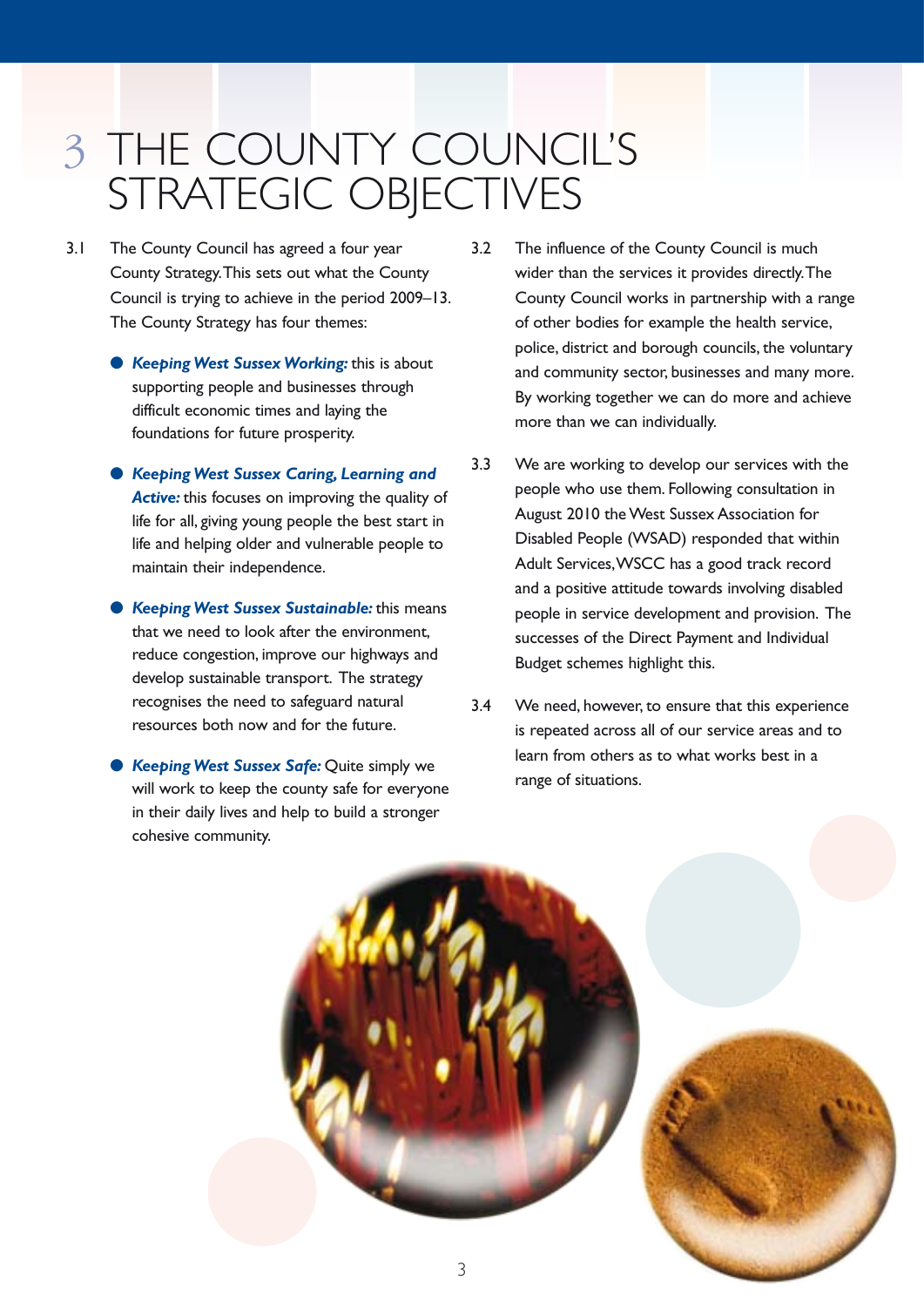## 3 THE COUNTY COUNCIL'S STRATEGIC OBJECTIVES

- 3.1 The County Council has agreed a four year County Strategy. This sets out what the County Council is trying to achieve in the period 2009–13. The County Strategy has four themes:
	- *Keeping West Sussex Working:* this is about supporting people and businesses through difficult economic times and laying the foundations for future prosperity.
	- *Keeping West Sussex Caring, Learning and Active:* this focuses on improving the quality of life for all, giving young people the best start in life and helping older and vulnerable people to maintain their independence.
	- *Keeping West Sussex Sustainable:* this means that we need to look after the environment, reduce congestion, improve our highways and develop sustainable transport. The strategy recognises the need to safeguard natural resources both now and for the future.
	- **B** *Keeping West Sussex Safe: Quite simply we* will work to keep the county safe for everyone in their daily lives and help to build a stronger cohesive community.
- 3.2 The influence of the County Council is much wider than the services it provides directly. The County Council works in partnership with a range of other bodies for example the health service, police, district and borough councils, the voluntary and community sector, businesses and many more. By working together we can do more and achieve more than we can individually.
- 3.3 We are working to develop our services with the people who use them. Following consultation in August 2010 the West Sussex Association for Disabled People (WSAD) responded that within Adult Services, WSCC has a good track record and a positive attitude towards involving disabled people in service development and provision. The successes of the Direct Payment and Individual Budget schemes highlight this.
- 3.4 We need, however, to ensure that this experience is repeated across all of our service areas and to learn from others as to what works best in a range of situations.



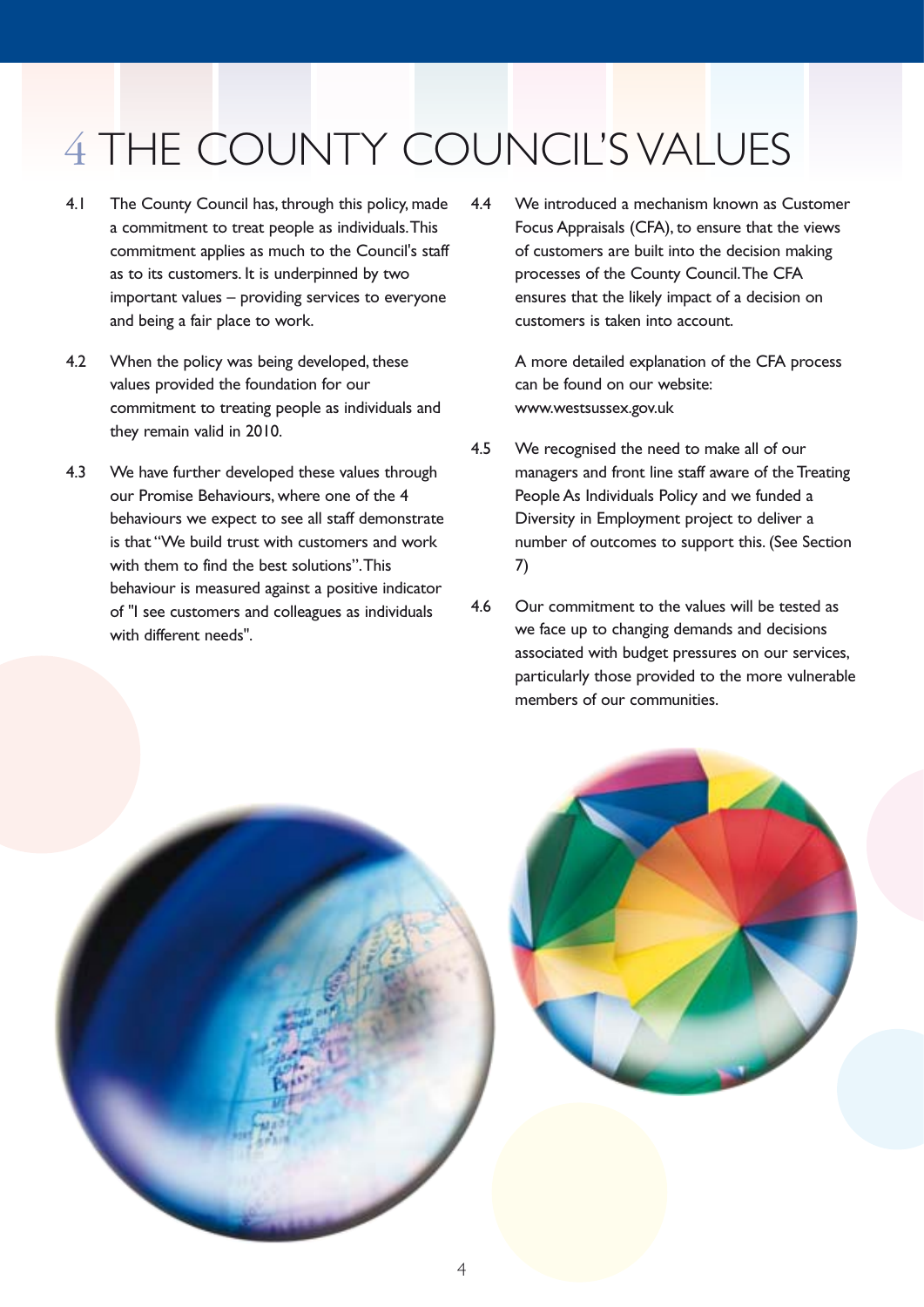# 4 THE COUNTY COUNCIL'S VALUES

- 4.1 The County Council has, through this policy, made a commitment to treat people as individuals. This commitment applies as much to the Council's staff as to its customers. It is underpinned by two important values – providing services to everyone and being a fair place to work.
- 4.2 When the policy was being developed, these values provided the foundation for our commitment to treating people as individuals and they remain valid in 2010.
- 4.3 We have further developed these values through our Promise Behaviours, where one of the 4 behaviours we expect to see all staff demonstrate is that "We build trust with customers and work with them to find the best solutions". This behaviour is measured against a positive indicator of "I see customers and colleagues as individuals with different needs".

4.4 We introduced a mechanism known as Customer Focus Appraisals (CFA), to ensure that the views of customers are built into the decision making processes of the County Council. The CFA ensures that the likely impact of a decision on customers is taken into account.

> A more detailed explanation of the CFA process can be found on our website: www.westsussex.gov.uk

- 4.5 We recognised the need to make all of our managers and front line staff aware of the Treating People As Individuals Policy and we funded a Diversity in Employment project to deliver a number of outcomes to support this. (See Section 7)
- 4.6 Our commitment to the values will be tested as we face up to changing demands and decisions associated with budget pressures on our services, particularly those provided to the more vulnerable members of our communities.

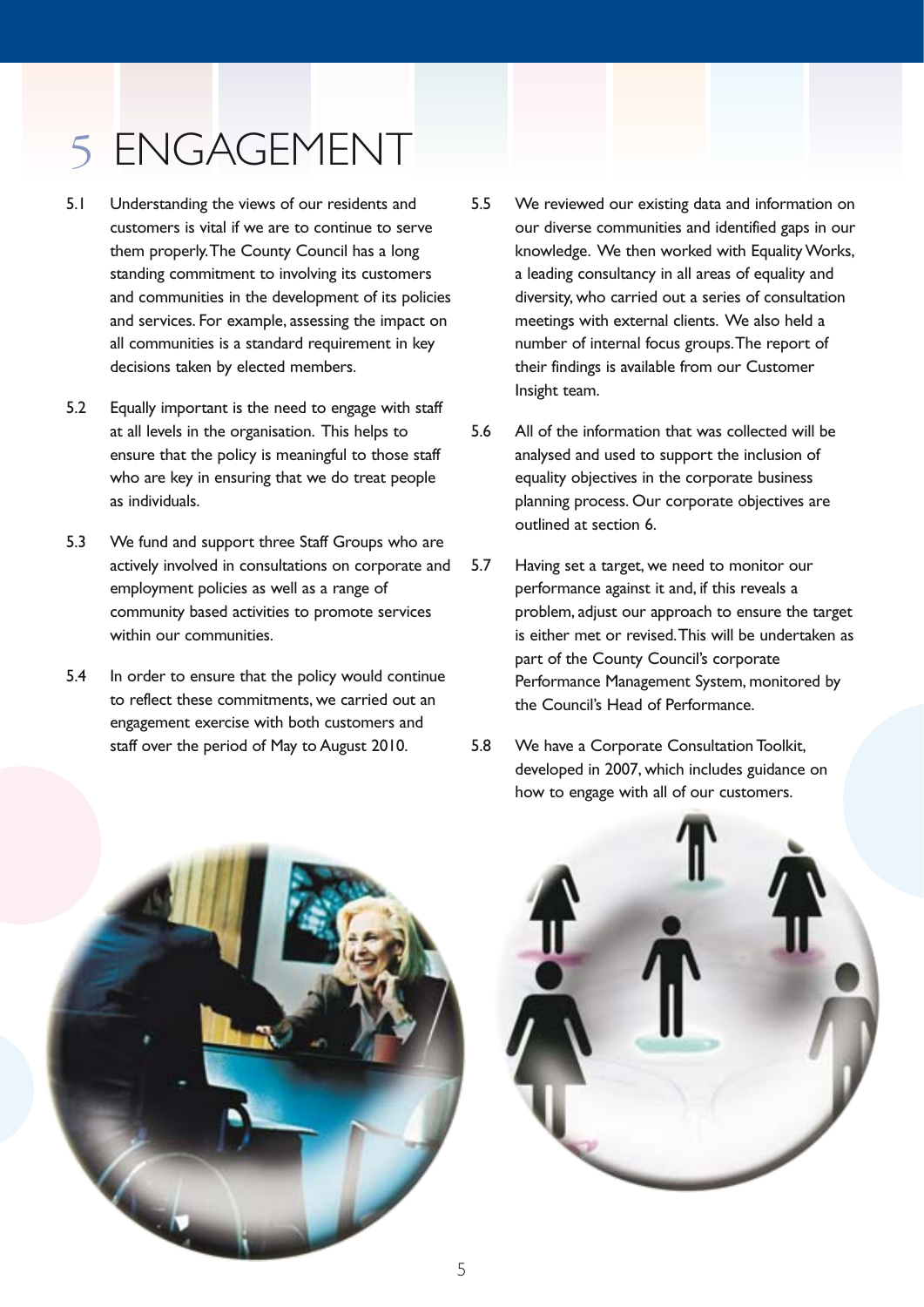# 5 ENGAGEMENT

- 5.1 Understanding the views of our residents and customers is vital if we are to continue to serve them properly. The County Council has a long standing commitment to involving its customers and communities in the development of its policies and services. For example, assessing the impact on all communities is a standard requirement in key decisions taken by elected members.
- 5.2 Equally important is the need to engage with staff at all levels in the organisation. This helps to ensure that the policy is meaningful to those staff who are key in ensuring that we do treat people as individuals.
- 5.3 We fund and support three Staff Groups who are actively involved in consultations on corporate and employment policies as well as a range of community based activities to promote services within our communities.
- 5.4 In order to ensure that the policy would continue to reflect these commitments, we carried out an engagement exercise with both customers and staff over the period of May to August 2010.
- 5.5 We reviewed our existing data and information on our diverse communities and identified gaps in our knowledge. We then worked with Equality Works, a leading consultancy in all areas of equality and diversity, who carried out a series of consultation meetings with external clients. We also held a number of internal focus groups. The report of their findings is available from our Customer Insight team.
- 5.6 All of the information that was collected will be analysed and used to support the inclusion of equality objectives in the corporate business planning process. Our corporate objectives are outlined at section 6.
- 5.7 Having set a target, we need to monitor our performance against it and, if this reveals a problem, adjust our approach to ensure the target is either met or revised. This will be undertaken as part of the County Council's corporate Performance Management System, monitored by the Council's Head of Performance.
- 5.8 We have a Corporate Consultation Toolkit, developed in 2007, which includes guidance on how to engage with all of our customers.



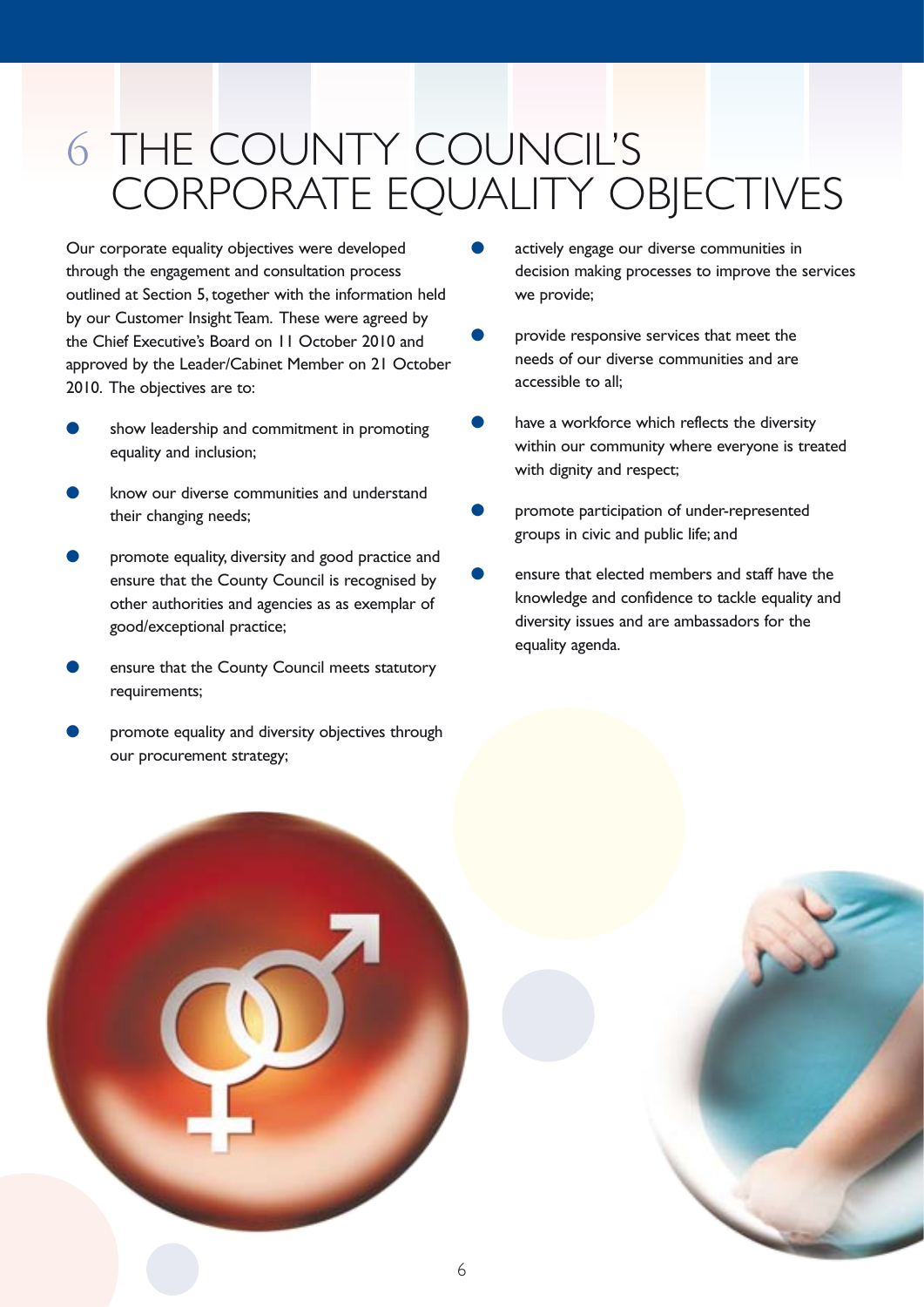## 6 THE COUNTY COUNCIL'S CORPORATE EQUALITY OBJECTIVES

Our corporate equality objectives were developed through the engagement and consultation process outlined at Section 5, together with the information held by our Customer Insight Team. These were agreed by the Chief Executive's Board on 11 October 2010 and approved by the Leader/Cabinet Member on 21 October 2010. The objectives are to:

- show leadership and commitment in promoting equality and inclusion;
- know our diverse communities and understand their changing needs;
- promote equality, diversity and good practice and ensure that the County Council is recognised by other authorities and agencies as as exemplar of good/exceptional practice;
- ensure that the County Council meets statutory requirements;
- promote equality and diversity objectives through our procurement strategy;
- actively engage our diverse communities in decision making processes to improve the services we provide;
- provide responsive services that meet the needs of our diverse communities and are accessible to all;
- have a workforce which reflects the diversity within our community where everyone is treated with dignity and respect;
- promote participation of under-represented groups in civic and public life; and
- ensure that elected members and staff have the knowledge and confidence to tackle equality and diversity issues and are ambassadors for the equality agenda.

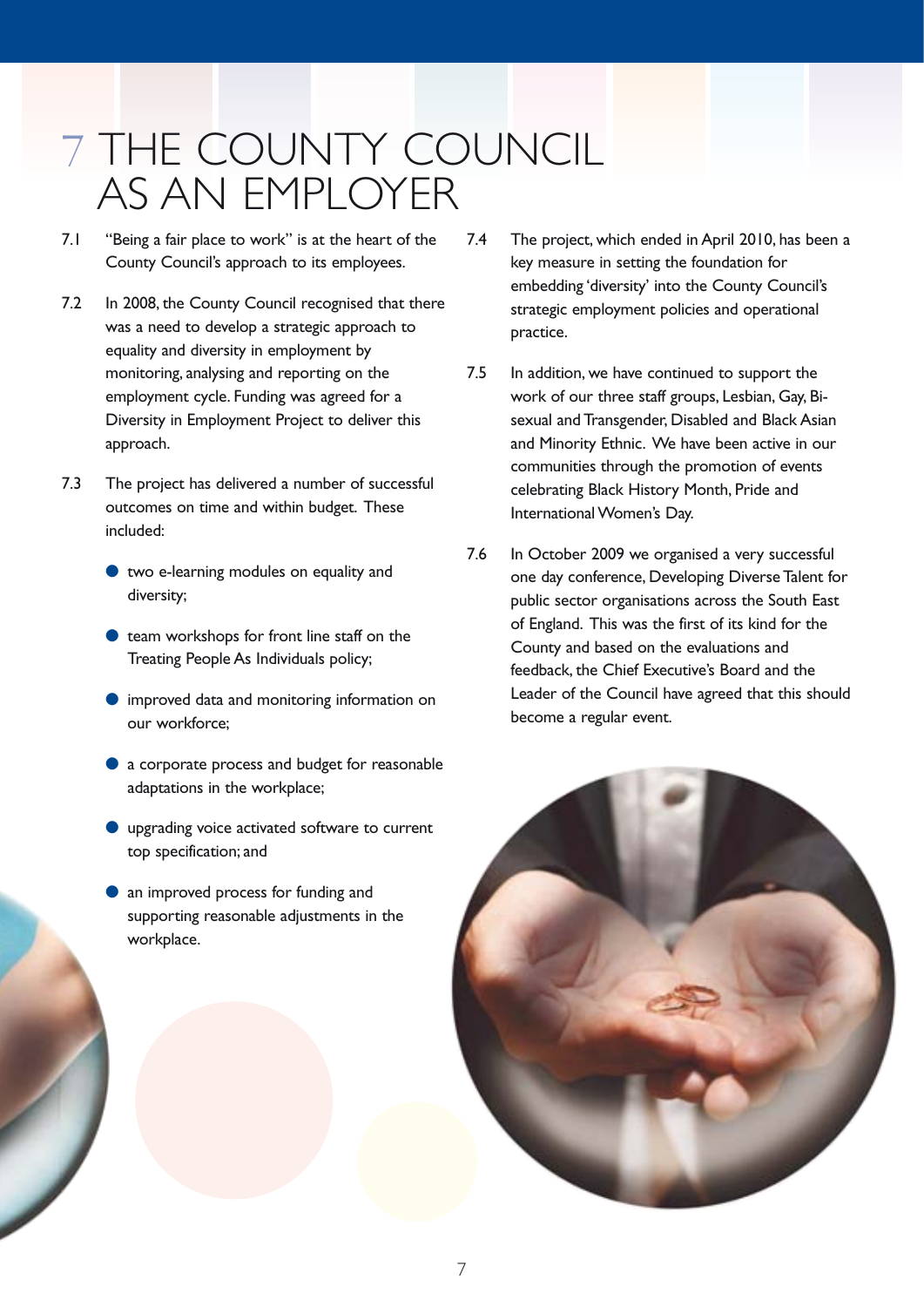## 7 THE COUNTY COUNCIL AS AN EMPLOYER

- 7.1 "Being a fair place to work" is at the heart of the County Council's approach to its employees.
- 7.2 In 2008, the County Council recognised that there was a need to develop a strategic approach to equality and diversity in employment by monitoring, analysing and reporting on the employment cycle. Funding was agreed for a Diversity in Employment Project to deliver this approach.
- 7.3 The project has delivered a number of successful outcomes on time and within budget. These included:
	- two e-learning modules on equality and diversity;
	- team workshops for front line staff on the Treating People As Individuals policy;
	- improved data and monitoring information on our workforce;
	- a corporate process and budget for reasonable adaptations in the workplace;
	- upgrading voice activated software to current top specification; and
	- an improved process for funding and supporting reasonable adjustments in the workplace.
- 7.4 The project, which ended in April 2010, has been a key measure in setting the foundation for embedding 'diversity' into the County Council's strategic employment policies and operational practice.
- 7.5 In addition, we have continued to support the work of our three staff groups, Lesbian, Gay, Bisexual and Transgender, Disabled and Black Asian and Minority Ethnic. We have been active in our communities through the promotion of events celebrating Black History Month, Pride and International Women's Day.
- 7.6 In October 2009 we organised a very successful one day conference, Developing Diverse Talent for public sector organisations across the South East of England. This was the first of its kind for the County and based on the evaluations and feedback, the Chief Executive's Board and the Leader of the Council have agreed that this should become a regular event.

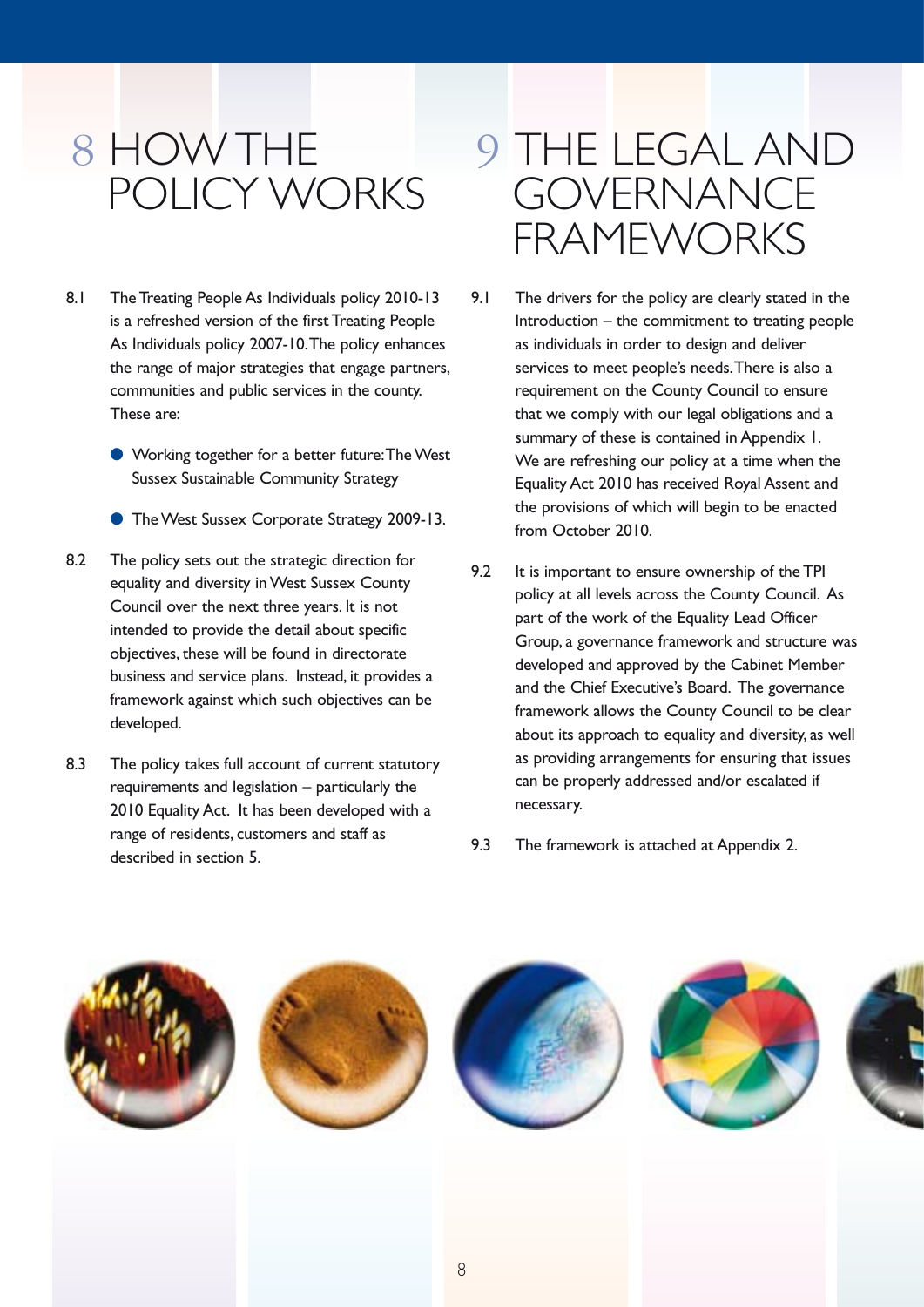## 8 HOW THE POLICY WORKS

- 8.1 The Treating People As Individuals policy 2010-13 is a refreshed version of the first Treating People As Individuals policy 2007-10. The policy enhances the range of major strategies that engage partners, communities and public services in the county. These are:
	- Working together for a better future: The West Sussex Sustainable Community Strategy
	- The West Sussex Corporate Strategy 2009-13.
- 8.2 The policy sets out the strategic direction for equality and diversity in West Sussex County Council over the next three years. It is not intended to provide the detail about specific objectives, these will be found in directorate business and service plans. Instead, it provides a framework against which such objectives can be developed.
- 8.3 The policy takes full account of current statutory requirements and legislation – particularly the 2010 Equality Act. It has been developed with a range of residents, customers and staff as described in section 5.

## 9 THE LEGAL AND **GOVERNANCE** FRAMEWORKS

- 9.1 The drivers for the policy are clearly stated in the Introduction – the commitment to treating people as individuals in order to design and deliver services to meet people's needs. There is also a requirement on the County Council to ensure that we comply with our legal obligations and a summary of these is contained in Appendix 1. We are refreshing our policy at a time when the Equality Act 2010 has received Royal Assent and the provisions of which will begin to be enacted from October 2010.
- 9.2 It is important to ensure ownership of the TPI policy at all levels across the County Council. As part of the work of the Equality Lead Officer Group, a governance framework and structure was developed and approved by the Cabinet Member and the Chief Executive's Board. The governance framework allows the County Council to be clear about its approach to equality and diversity, as well as providing arrangements for ensuring that issues can be properly addressed and/or escalated if necessary.
- 9.3 The framework is attached at Appendix 2.

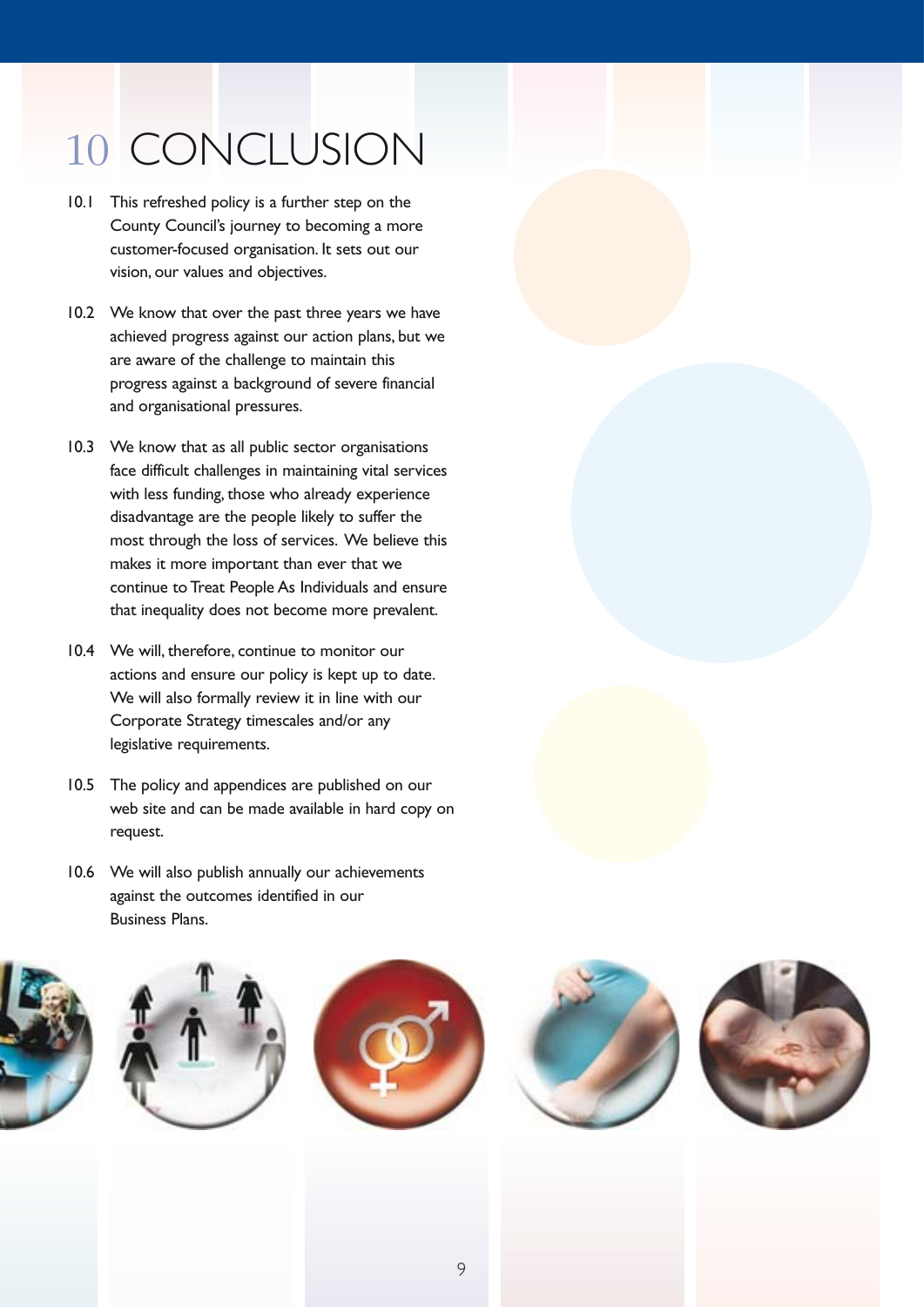# 10 CONCLUSION

- 10.1 This refreshed policy is a further step on the County Council's journey to becoming a more customer-focused organisation. It sets out our vision, our values and objectives.
- 10.2 We know that over the past three years we have achieved progress against our action plans, but we are aware of the challenge to maintain this progress against a background of severe financial and organisational pressures.
- 10.3 We know that as all public sector organisations face difficult challenges in maintaining vital services with less funding, those who already experience disadvantage are the people likely to suffer the most through the loss of services. We believe this makes it more important than ever that we continue to Treat People As Individuals and ensure that inequality does not become more prevalent.
- 10.4 We will, therefore, continue to monitor our actions and ensure our policy is kept up to date. We will also formally review it in line with our Corporate Strategy timescales and/or any legislative requirements.
- 10.5 The policy and appendices are published on our web site and can be made available in hard copy on request.
- 10.6 We will also publish annually our achievements against the outcomes identified in our Business Plans.









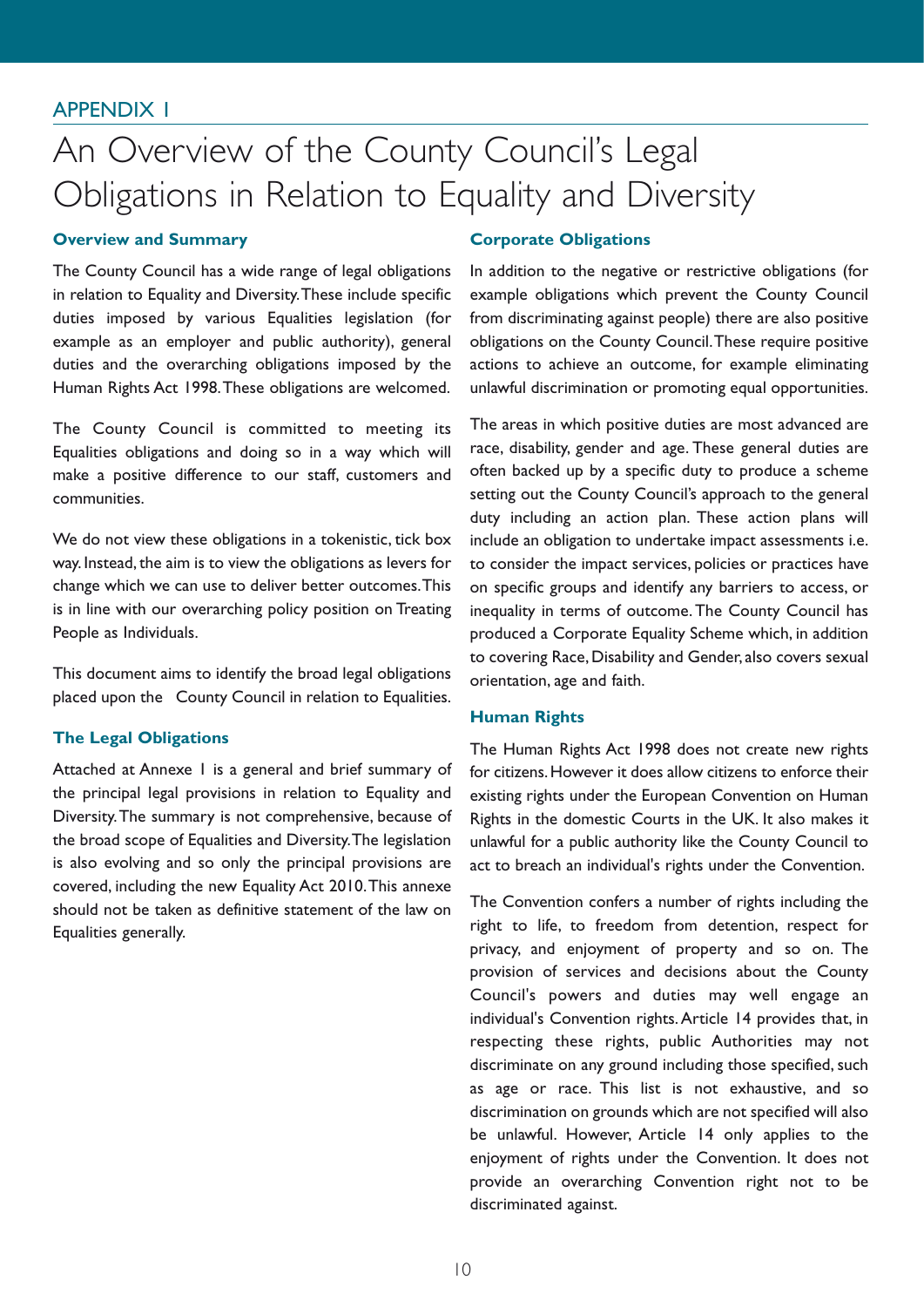## An Overview of the County Council's Legal Obligations in Relation to Equality and Diversity

#### **Overview and Summary**

The County Council has a wide range of legal obligations in relation to Equality and Diversity. These include specific duties imposed by various Equalities legislation (for example as an employer and public authority), general duties and the overarching obligations imposed by the Human Rights Act 1998. These obligations are welcomed.

The County Council is committed to meeting its Equalities obligations and doing so in a way which will make a positive difference to our staff, customers and communities.

We do not view these obligations in a tokenistic, tick box way. Instead, the aim is to view the obligations as levers for change which we can use to deliver better outcomes. This is in line with our overarching policy position on Treating People as Individuals.

This document aims to identify the broad legal obligations placed upon the County Council in relation to Equalities.

#### **The Legal Obligations**

Attached at Annexe 1 is a general and brief summary of the principal legal provisions in relation to Equality and Diversity. The summary is not comprehensive, because of the broad scope of Equalities and Diversity. The legislation is also evolving and so only the principal provisions are covered, including the new Equality Act 2010. This annexe should not be taken as definitive statement of the law on Equalities generally.

#### **Corporate Obligations**

In addition to the negative or restrictive obligations (for example obligations which prevent the County Council from discriminating against people) there are also positive obligations on the County Council. These require positive actions to achieve an outcome, for example eliminating unlawful discrimination or promoting equal opportunities.

The areas in which positive duties are most advanced are race, disability, gender and age. These general duties are often backed up by a specific duty to produce a scheme setting out the County Council's approach to the general duty including an action plan. These action plans will include an obligation to undertake impact assessments i.e. to consider the impact services, policies or practices have on specific groups and identify any barriers to access, or inequality in terms of outcome. The County Council has produced a Corporate Equality Scheme which, in addition to covering Race, Disability and Gender, also covers sexual orientation, age and faith.

#### **Human Rights**

The Human Rights Act 1998 does not create new rights for citizens. However it does allow citizens to enforce their existing rights under the European Convention on Human Rights in the domestic Courts in the UK. It also makes it unlawful for a public authority like the County Council to act to breach an individual's rights under the Convention.

The Convention confers a number of rights including the right to life, to freedom from detention, respect for privacy, and enjoyment of property and so on. The provision of services and decisions about the County Council's powers and duties may well engage an individual's Convention rights. Article 14 provides that, in respecting these rights, public Authorities may not discriminate on any ground including those specified, such as age or race. This list is not exhaustive, and so discrimination on grounds which are not specified will also be unlawful. However, Article 14 only applies to the enjoyment of rights under the Convention. It does not provide an overarching Convention right not to be discriminated against.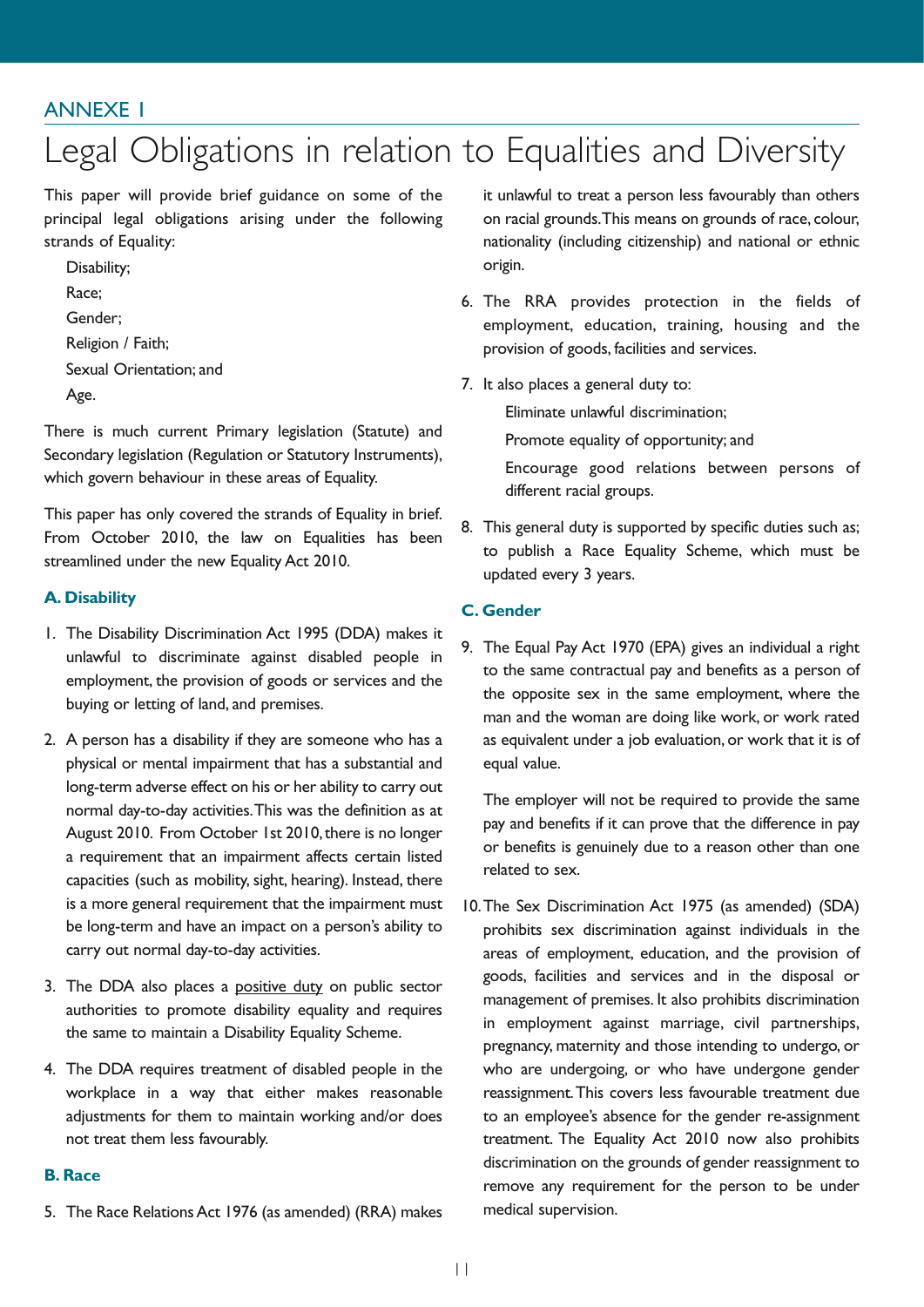### Legal Obligations in relation to Equalities and Diversity

This paper will provide brief guidance on some of the principal legal obligations arising under the following strands of Equality:

Disability; Race; Gender; Religion / Faith; Sexual Orientation; and Age.

There is much current Primary legislation (Statute) and Secondary legislation (Regulation or Statutory Instruments), which govern behaviour in these areas of Equality.

This paper has only covered the strands of Equality in brief. From October 2010, the law on Equalities has been streamlined under the new Equality Act 2010.

#### **A. Disability**

- 1. The Disability Discrimination Act 1995 (DDA) makes it unlawful to discriminate against disabled people in employment, the provision of goods or services and the buying or letting of land, and premises.
- 2. A person has a disability if they are someone who has a physical or mental impairment that has a substantial and long-term adverse effect on his or her ability to carry out normal day-to-day activities. This was the definition as at August 2010. From October 1st 2010, there is no longer a requirement that an impairment affects certain listed capacities (such as mobility, sight, hearing). Instead, there is a more general requirement that the impairment must be long-term and have an impact on a person's ability to carry out normal day-to-day activities.
- 3. The DDA also places a positive duty on public sector authorities to promote disability equality and requires the same to maintain a Disability Equality Scheme.
- 4. The DDA requires treatment of disabled people in the workplace in a way that either makes reasonable adjustments for them to maintain working and/or does not treat them less favourably.

#### **B. Race**

5. The Race Relations Act 1976 (as amended) (RRA) makes

it unlawful to treat a person less favourably than others on racial grounds. This means on grounds of race, colour, nationality (including citizenship) and national or ethnic origin.

- 6. The RRA provides protection in the fields of employment, education, training, housing and the provision of goods, facilities and services.
- 7. It also places a general duty to:

Eliminate unlawful discrimination;

Promote equality of opportunity; and

Encourage good relations between persons of different racial groups.

8. This general duty is supported by specific duties such as; to publish a Race Equality Scheme, which must be updated every 3 years.

#### **C. Gender**

9. The Equal Pay Act 1970 (EPA) gives an individual a right to the same contractual pay and benefits as a person of the opposite sex in the same employment, where the man and the woman are doing like work, or work rated as equivalent under a job evaluation, or work that it is of equal value.

The employer will not be required to provide the same pay and benefits if it can prove that the difference in pay or benefits is genuinely due to a reason other than one related to sex.

10.The Sex Discrimination Act 1975 (as amended) (SDA) prohibits sex discrimination against individuals in the areas of employment, education, and the provision of goods, facilities and services and in the disposal or management of premises. It also prohibits discrimination in employment against marriage, civil partnerships, pregnancy, maternity and those intending to undergo, or who are undergoing, or who have undergone gender reassignment. This covers less favourable treatment due to an employee's absence for the gender re-assignment treatment. The Equality Act 2010 now also prohibits discrimination on the grounds of gender reassignment to remove any requirement for the person to be under medical supervision.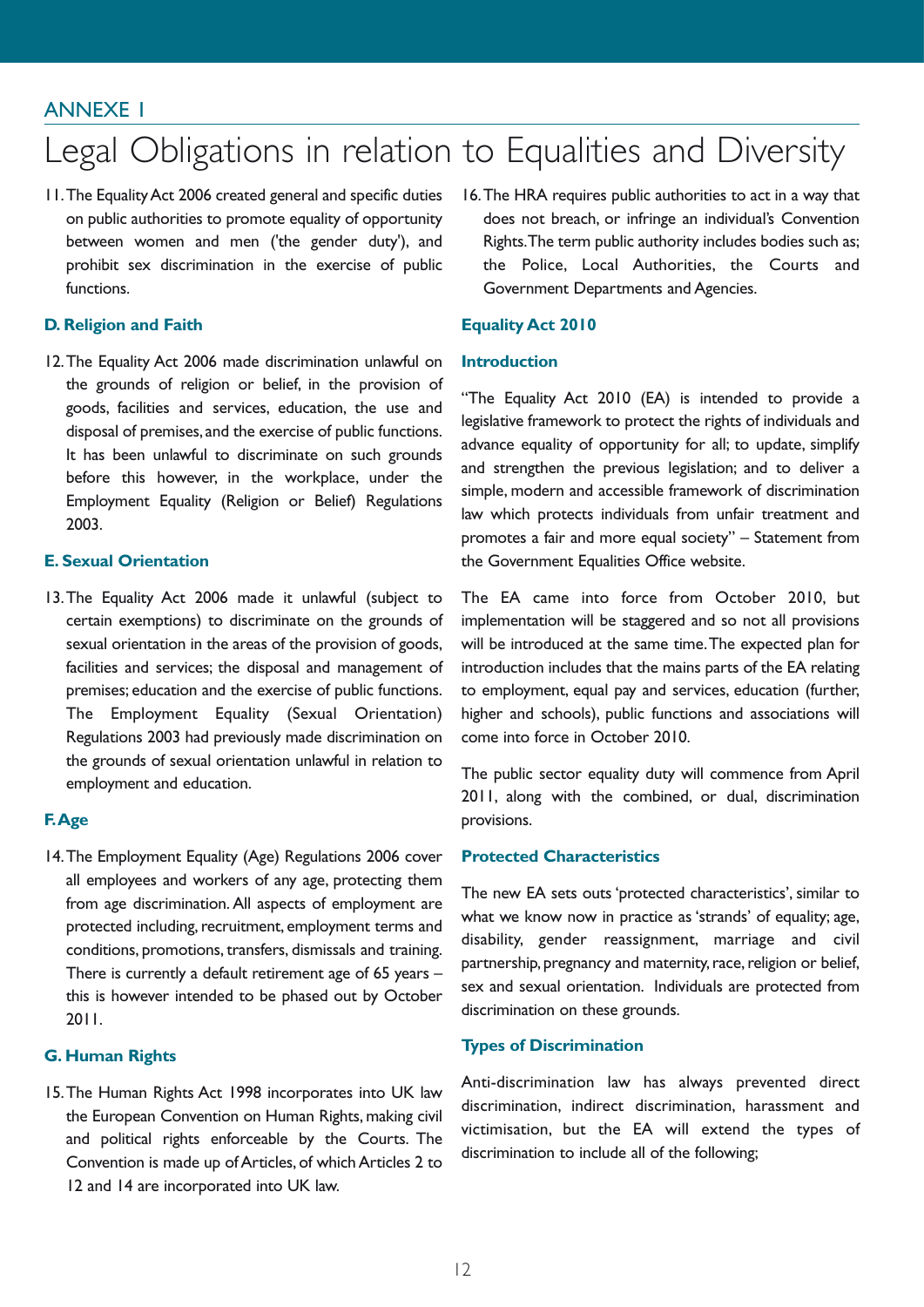### Legal Obligations in relation to Equalities and Diversity

11.The Equality Act 2006 created general and specific duties on public authorities to promote equality of opportunity between women and men ('the gender duty'), and prohibit sex discrimination in the exercise of public functions.

#### **D. Religion and Faith**

12.The Equality Act 2006 made discrimination unlawful on the grounds of religion or belief, in the provision of goods, facilities and services, education, the use and disposal of premises, and the exercise of public functions. It has been unlawful to discriminate on such grounds before this however, in the workplace, under the Employment Equality (Religion or Belief) Regulations 2003.

#### **E. Sexual Orientation**

13.The Equality Act 2006 made it unlawful (subject to certain exemptions) to discriminate on the grounds of sexual orientation in the areas of the provision of goods, facilities and services; the disposal and management of premises; education and the exercise of public functions. The Employment Equality (Sexual Orientation) Regulations 2003 had previously made discrimination on the grounds of sexual orientation unlawful in relation to employment and education.

#### **F. Age**

14.The Employment Equality (Age) Regulations 2006 cover all employees and workers of any age, protecting them from age discrimination. All aspects of employment are protected including, recruitment, employment terms and conditions, promotions, transfers, dismissals and training. There is currently a default retirement age of 65 years – this is however intended to be phased out by October 2011.

#### **G. Human Rights**

15.The Human Rights Act 1998 incorporates into UK law the European Convention on Human Rights, making civil and political rights enforceable by the Courts. The Convention is made up of Articles, of which Articles 2 to 12 and 14 are incorporated into UK law.

16.The HRA requires public authorities to act in a way that does not breach, or infringe an individual's Convention Rights. The term public authority includes bodies such as; the Police, Local Authorities, the Courts and Government Departments and Agencies.

#### **Equality Act 2010**

#### **Introduction**

"The Equality Act 2010 (EA) is intended to provide a legislative framework to protect the rights of individuals and advance equality of opportunity for all; to update, simplify and strengthen the previous legislation; and to deliver a simple, modern and accessible framework of discrimination law which protects individuals from unfair treatment and promotes a fair and more equal society" – Statement from the Government Equalities Office website.

The EA came into force from October 2010, but implementation will be staggered and so not all provisions will be introduced at the same time. The expected plan for introduction includes that the mains parts of the EA relating to employment, equal pay and services, education (further, higher and schools), public functions and associations will come into force in October 2010.

The public sector equality duty will commence from April 2011, along with the combined, or dual, discrimination provisions.

#### **Protected Characteristics**

The new EA sets outs 'protected characteristics', similar to what we know now in practice as 'strands' of equality; age, disability, gender reassignment, marriage and civil partnership, pregnancy and maternity, race, religion or belief, sex and sexual orientation. Individuals are protected from discrimination on these grounds.

#### **Types of Discrimination**

Anti-discrimination law has always prevented direct discrimination, indirect discrimination, harassment and victimisation, but the EA will extend the types of discrimination to include all of the following;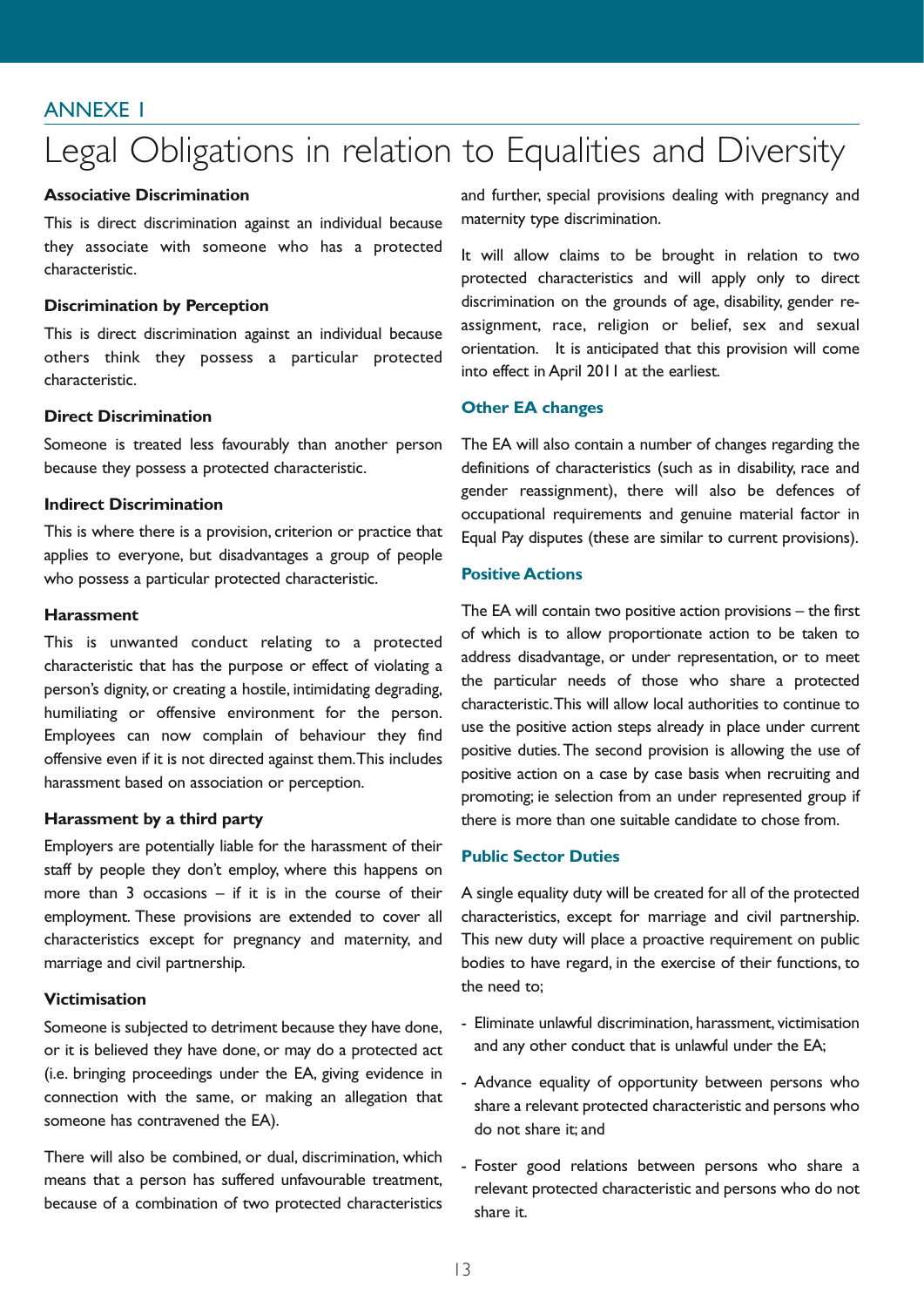## Legal Obligations in relation to Equalities and Diversity

#### **Associative Discrimination**

This is direct discrimination against an individual because they associate with someone who has a protected characteristic.

#### **Discrimination by Perception**

This is direct discrimination against an individual because others think they possess a particular protected characteristic.

#### **Direct Discrimination**

Someone is treated less favourably than another person because they possess a protected characteristic.

#### **Indirect Discrimination**

This is where there is a provision, criterion or practice that applies to everyone, but disadvantages a group of people who possess a particular protected characteristic.

#### **Harassment**

This is unwanted conduct relating to a protected characteristic that has the purpose or effect of violating a person's dignity, or creating a hostile, intimidating degrading, humiliating or offensive environment for the person. Employees can now complain of behaviour they find offensive even if it is not directed against them. This includes harassment based on association or perception.

#### **Harassment by a third party**

Employers are potentially liable for the harassment of their staff by people they don't employ, where this happens on more than 3 occasions  $-$  if it is in the course of their employment. These provisions are extended to cover all characteristics except for pregnancy and maternity, and marriage and civil partnership.

#### **Victimisation**

Someone is subjected to detriment because they have done, or it is believed they have done, or may do a protected act (i.e. bringing proceedings under the EA, giving evidence in connection with the same, or making an allegation that someone has contravened the EA).

There will also be combined, or dual, discrimination, which means that a person has suffered unfavourable treatment, because of a combination of two protected characteristics and further, special provisions dealing with pregnancy and maternity type discrimination.

It will allow claims to be brought in relation to two protected characteristics and will apply only to direct discrimination on the grounds of age, disability, gender reassignment, race, religion or belief, sex and sexual orientation. It is anticipated that this provision will come into effect in April 2011 at the earliest.

#### **Other EA changes**

The EA will also contain a number of changes regarding the definitions of characteristics (such as in disability, race and gender reassignment), there will also be defences of occupational requirements and genuine material factor in Equal Pay disputes (these are similar to current provisions).

#### **Positive Actions**

The EA will contain two positive action provisions – the first of which is to allow proportionate action to be taken to address disadvantage, or under representation, or to meet the particular needs of those who share a protected characteristic. This will allow local authorities to continue to use the positive action steps already in place under current positive duties. The second provision is allowing the use of positive action on a case by case basis when recruiting and promoting; ie selection from an under represented group if there is more than one suitable candidate to chose from.

#### **Public Sector Duties**

A single equality duty will be created for all of the protected characteristics, except for marriage and civil partnership. This new duty will place a proactive requirement on public bodies to have regard, in the exercise of their functions, to the need to;

- Eliminate unlawful discrimination, harassment, victimisation and any other conduct that is unlawful under the EA;
- Advance equality of opportunity between persons who share a relevant protected characteristic and persons who do not share it; and
- Foster good relations between persons who share a relevant protected characteristic and persons who do not share it.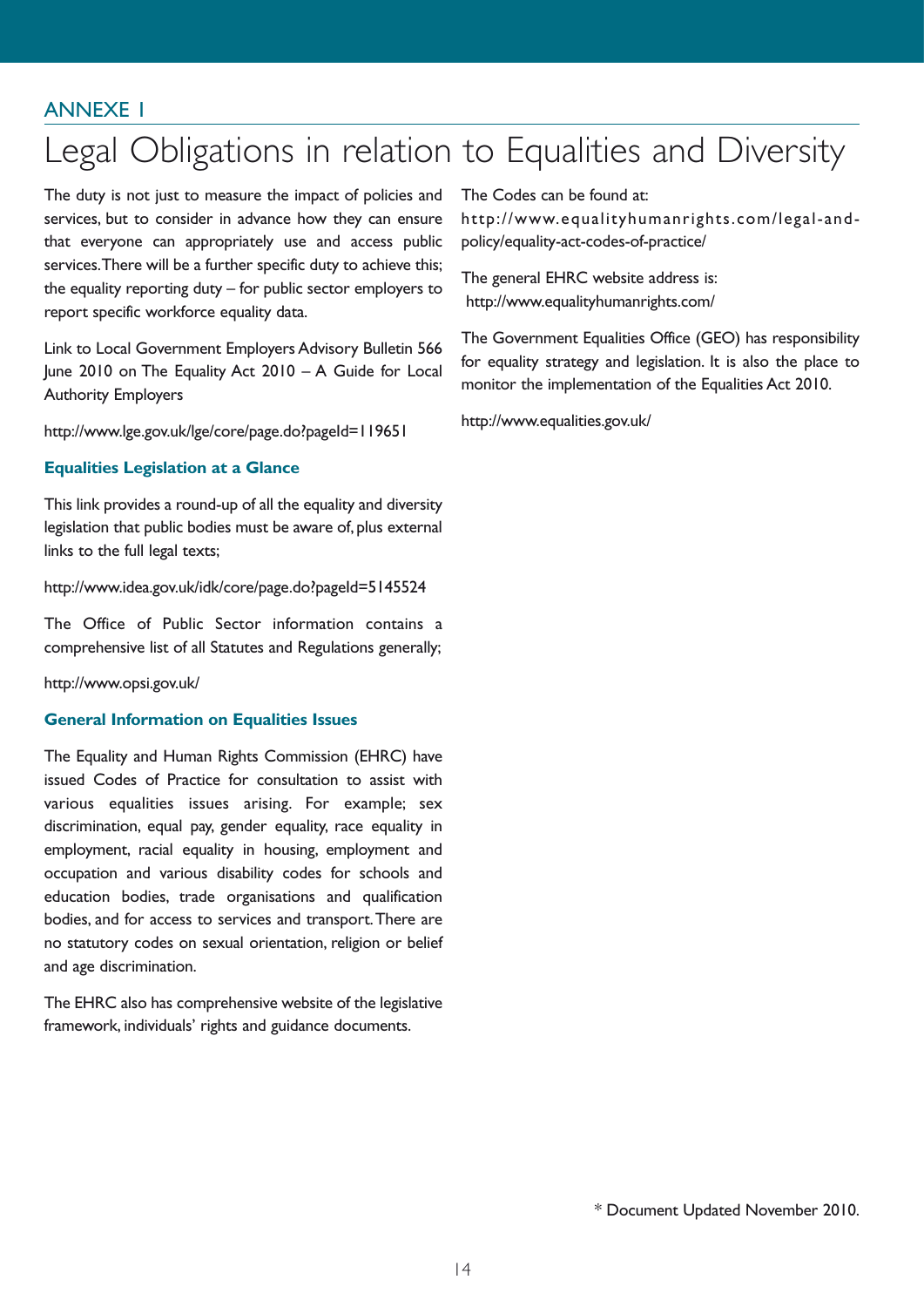### Legal Obligations in relation to Equalities and Diversity

The duty is not just to measure the impact of policies and services, but to consider in advance how they can ensure that everyone can appropriately use and access public services. There will be a further specific duty to achieve this; the equality reporting duty – for public sector employers to report specific workforce equality data.

Link to Local Government Employers Advisory Bulletin 566 June 2010 on The Equality Act 2010 – A Guide for Local Authority Employers

http://www.lge.gov.uk/lge/core/page.do?pageId=119651

#### **Equalities Legislation at a Glance**

This link provides a round-up of all the equality and diversity legislation that public bodies must be aware of, plus external links to the full legal texts;

http://www.idea.gov.uk/idk/core/page.do?pageId=5145524

The Office of Public Sector information contains a comprehensive list of all Statutes and Regulations generally;

http://www.opsi.gov.uk/

#### **General Information on Equalities Issues**

The Equality and Human Rights Commission (EHRC) have issued Codes of Practice for consultation to assist with various equalities issues arising. For example; sex discrimination, equal pay, gender equality, race equality in employment, racial equality in housing, employment and occupation and various disability codes for schools and education bodies, trade organisations and qualification bodies, and for access to services and transport. There are no statutory codes on sexual orientation, religion or belief and age discrimination.

The EHRC also has comprehensive website of the legislative framework, individuals' rights and guidance documents.

The Codes can be found at:

http://www.equalityhumanrights.com/legal-andpolicy/equality-act-codes-of-practice/

The general EHRC website address is: http://www.equalityhumanrights.com/

The Government Equalities Office (GEO) has responsibility for equality strategy and legislation. It is also the place to monitor the implementation of the Equalities Act 2010.

http://www.equalities.gov.uk/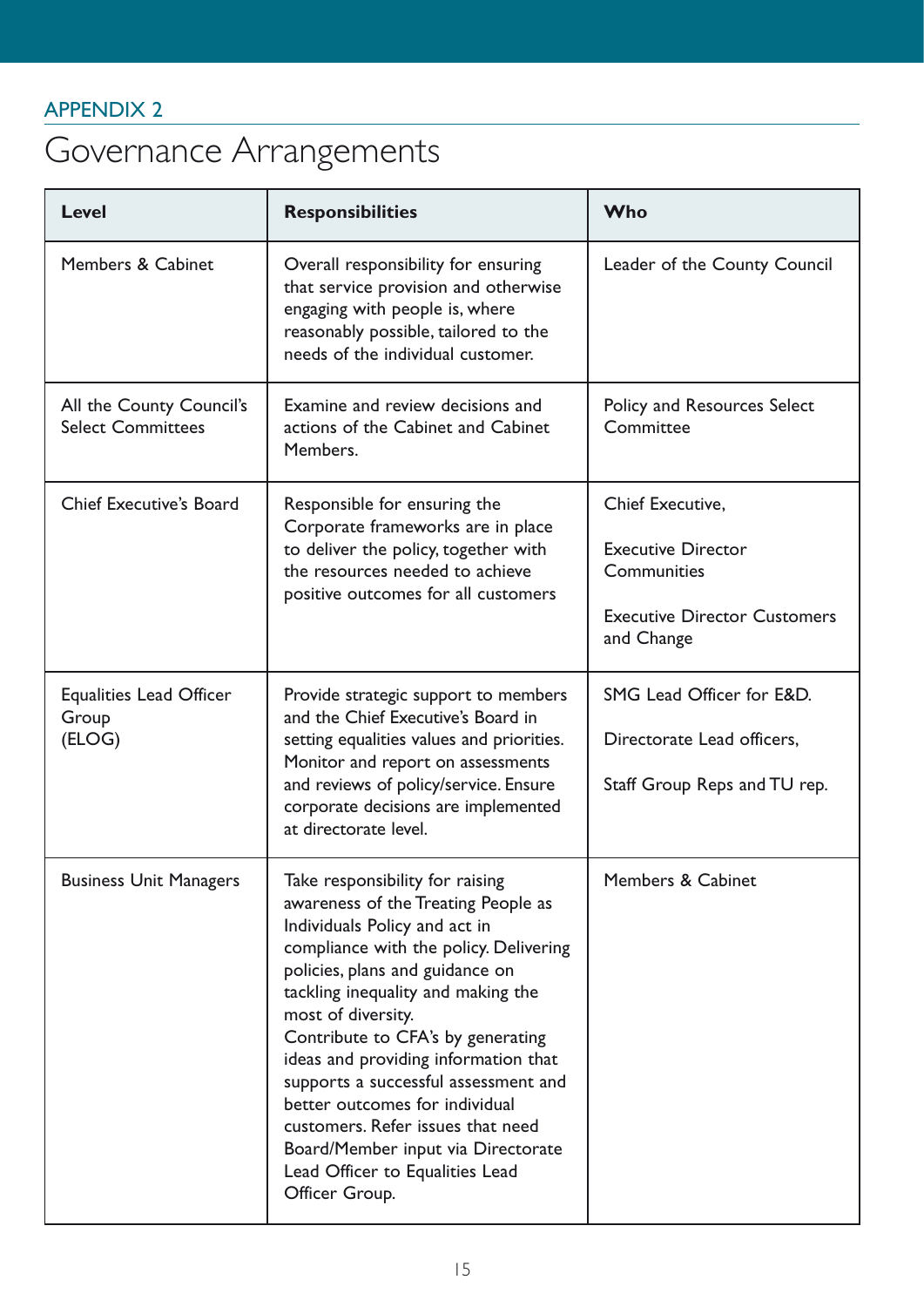### APPENDIX 2

## Governance Arrangements

| <b>Level</b>                                         | <b>Responsibilities</b>                                                                                                                                                                                                                                                                                                                                                                                                                                                                                                                 | Who                                                                                                               |
|------------------------------------------------------|-----------------------------------------------------------------------------------------------------------------------------------------------------------------------------------------------------------------------------------------------------------------------------------------------------------------------------------------------------------------------------------------------------------------------------------------------------------------------------------------------------------------------------------------|-------------------------------------------------------------------------------------------------------------------|
| Members & Cabinet                                    | Overall responsibility for ensuring<br>that service provision and otherwise<br>engaging with people is, where<br>reasonably possible, tailored to the<br>needs of the individual customer.                                                                                                                                                                                                                                                                                                                                              | Leader of the County Council                                                                                      |
| All the County Council's<br><b>Select Committees</b> | Examine and review decisions and<br>actions of the Cabinet and Cabinet<br>Members.                                                                                                                                                                                                                                                                                                                                                                                                                                                      | Policy and Resources Select<br>Committee                                                                          |
| Chief Executive's Board                              | Responsible for ensuring the<br>Corporate frameworks are in place<br>to deliver the policy, together with<br>the resources needed to achieve<br>positive outcomes for all customers                                                                                                                                                                                                                                                                                                                                                     | Chief Executive,<br><b>Executive Director</b><br>Communities<br><b>Executive Director Customers</b><br>and Change |
| <b>Equalities Lead Officer</b><br>Group<br>(ELOG)    | Provide strategic support to members<br>and the Chief Executive's Board in<br>setting equalities values and priorities.<br>Monitor and report on assessments<br>and reviews of policy/service. Ensure<br>corporate decisions are implemented<br>at directorate level.                                                                                                                                                                                                                                                                   | SMG Lead Officer for E&D.<br>Directorate Lead officers,<br>Staff Group Reps and TU rep.                           |
| <b>Business Unit Managers</b>                        | Take responsibility for raising<br>awareness of the Treating People as<br>Individuals Policy and act in<br>compliance with the policy. Delivering<br>policies, plans and guidance on<br>tackling inequality and making the<br>most of diversity.<br>Contribute to CFA's by generating<br>ideas and providing information that<br>supports a successful assessment and<br>better outcomes for individual<br>customers. Refer issues that need<br>Board/Member input via Directorate<br>Lead Officer to Equalities Lead<br>Officer Group. | <b>Members &amp; Cabinet</b>                                                                                      |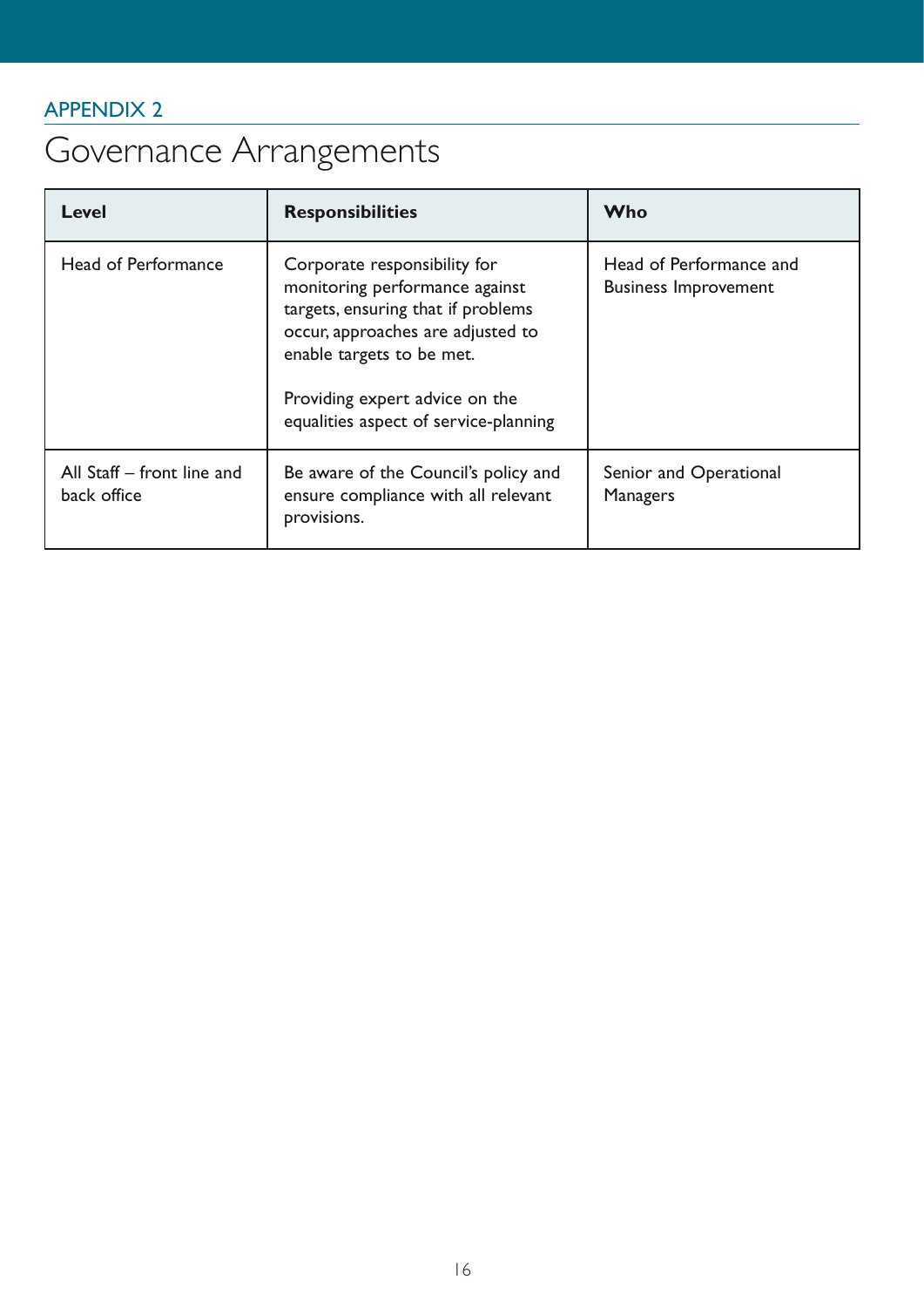### APPENDIX 2

## Governance Arrangements

| Level                                     | <b>Responsibilities</b>                                                                                                                                                                                                                           | Who                                                    |
|-------------------------------------------|---------------------------------------------------------------------------------------------------------------------------------------------------------------------------------------------------------------------------------------------------|--------------------------------------------------------|
| Head of Performance                       | Corporate responsibility for<br>monitoring performance against<br>targets, ensuring that if problems<br>occur, approaches are adjusted to<br>enable targets to be met.<br>Providing expert advice on the<br>equalities aspect of service-planning | Head of Performance and<br><b>Business Improvement</b> |
| All Staff – front line and<br>back office | Be aware of the Council's policy and<br>ensure compliance with all relevant<br>provisions.                                                                                                                                                        | Senior and Operational<br>Managers                     |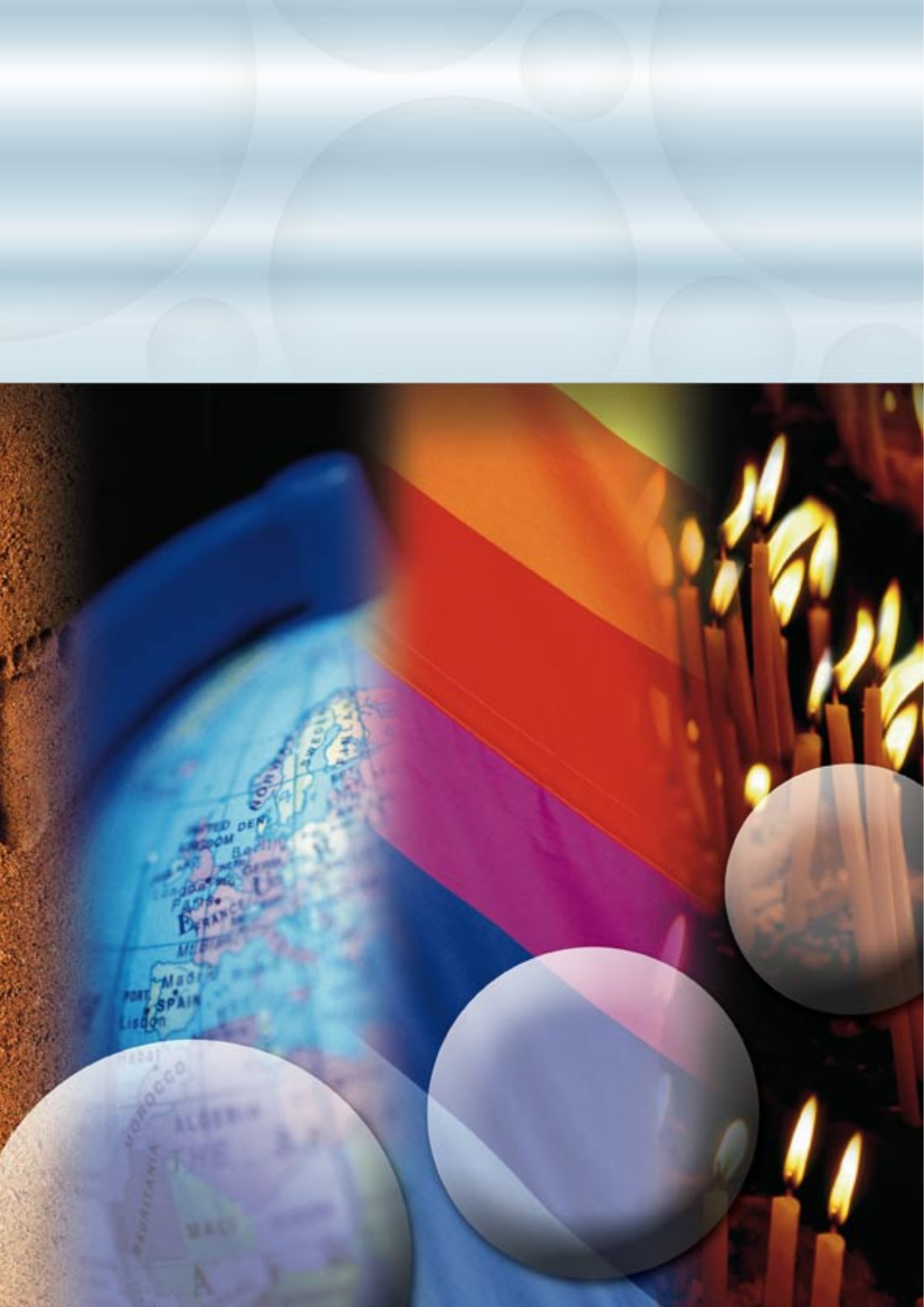